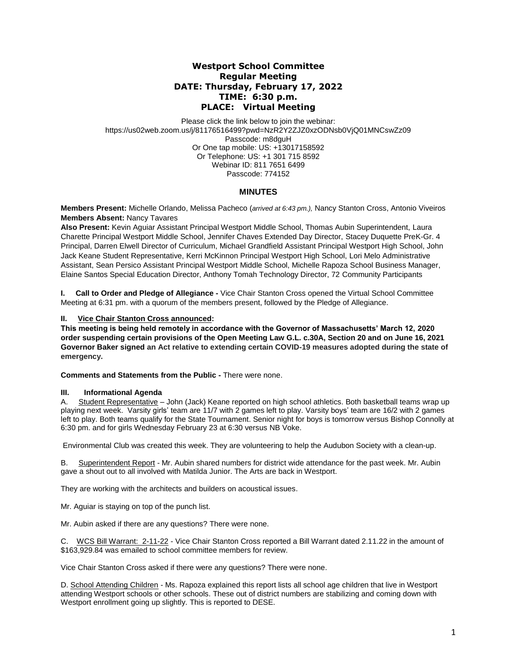# **Westport School Committee Regular Meeting DATE: Thursday, February 17, 2022 TIME: 6:30 p.m. PLACE: Virtual Meeting**

Please click the link below to join the webinar: https://us02web.zoom.us/j/81176516499?pwd=NzR2Y2ZJZ0xzODNsb0VjQ01MNCswZz09 Passcode: m8dguH Or One tap mobile: US: +13017158592 Or Telephone: US: +1 301 715 8592 Webinar ID: 811 7651 6499 Passcode: 774152

## **MINUTES**

**Members Present:** Michelle Orlando, Melissa Pacheco (*arrived at 6:43 pm.),* Nancy Stanton Cross, Antonio Viveiros **Members Absent:** Nancy Tavares

**Also Present:** Kevin Aguiar Assistant Principal Westport Middle School, Thomas Aubin Superintendent, Laura Charette Principal Westport Middle School, Jennifer Chaves Extended Day Director, Stacey Duquette PreK-Gr. 4 Principal, Darren Elwell Director of Curriculum, Michael Grandfield Assistant Principal Westport High School, John Jack Keane Student Representative, Kerri McKinnon Principal Westport High School, Lori Melo Administrative Assistant, Sean Persico Assistant Principal Westport Middle School, Michelle Rapoza School Business Manager, Elaine Santos Special Education Director, Anthony Tomah Technology Director, 72 Community Participants

**I. Call to Order and Pledge of Allegiance -** Vice Chair Stanton Cross opened the Virtual School Committee Meeting at 6:31 pm. with a quorum of the members present, followed by the Pledge of Allegiance.

## **II. Vice Chair Stanton Cross announced:**

**This meeting is being held remotely in accordance with the Governor of Massachusetts' March 12, 2020 order suspending certain provisions of the Open Meeting Law G.L. c.30A, Section 20 and on June 16, 2021 Governor Baker signed an Act relative to extending certain COVID-19 measures adopted during the state of emergency.**

**Comments and Statements from the Public -** There were none.

### **III. Informational Agenda**

A. Student Representative – John (Jack) Keane reported on high school athletics. Both basketball teams wrap up playing next week. Varsity girls' team are 11/7 with 2 games left to play. Varsity boys' team are 16/2 with 2 games left to play. Both teams qualify for the State Tournament. Senior night for boys is tomorrow versus Bishop Connolly at 6:30 pm. and for girls Wednesday February 23 at 6:30 versus NB Voke.

Environmental Club was created this week. They are volunteering to help the Audubon Society with a clean-up.

B. Superintendent Report - Mr. Aubin shared numbers for district wide attendance for the past week. Mr. Aubin gave a shout out to all involved with Matilda Junior. The Arts are back in Westport.

They are working with the architects and builders on acoustical issues.

Mr. Aguiar is staying on top of the punch list.

Mr. Aubin asked if there are any questions? There were none.

C. WCS Bill Warrant: 2-11-22 - Vice Chair Stanton Cross reported a Bill Warrant dated 2.11.22 in the amount of \$163,929.84 was emailed to school committee members for review.

Vice Chair Stanton Cross asked if there were any questions? There were none.

D. School Attending Children - Ms. Rapoza explained this report lists all school age children that live in Westport attending Westport schools or other schools. These out of district numbers are stabilizing and coming down with Westport enrollment going up slightly. This is reported to DESE.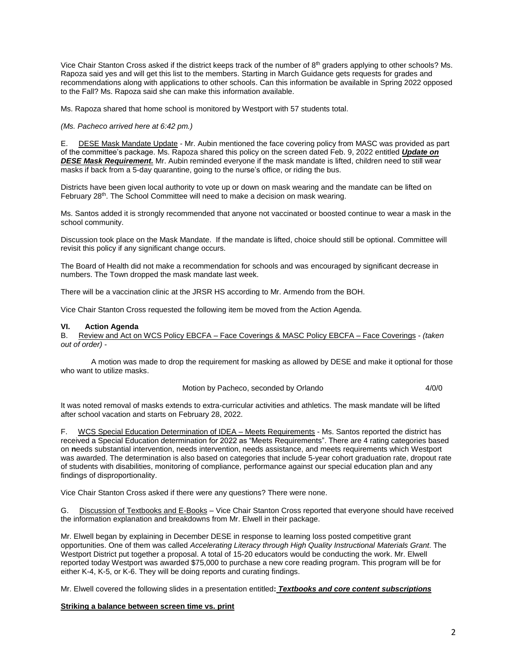Vice Chair Stanton Cross asked if the district keeps track of the number of 8th graders applying to other schools? Ms. Rapoza said yes and will get this list to the members. Starting in March Guidance gets requests for grades and recommendations along with applications to other schools. Can this information be available in Spring 2022 opposed to the Fall? Ms. Rapoza said she can make this information available.

Ms. Rapoza shared that home school is monitored by Westport with 57 students total.

#### *(Ms. Pacheco arrived here at 6:42 pm.)*

E. DESE Mask Mandate Update - Mr. Aubin mentioned the face covering policy from MASC was provided as part of the committee's package. Ms. Rapoza shared this policy on the screen dated Feb. 9, 2022 entitled *Update on DESE Mask Requirement.* Mr. Aubin reminded everyone if the mask mandate is lifted, children need to still wear masks if back from a 5-day quarantine, going to the nurse's office, or riding the bus.

Districts have been given local authority to vote up or down on mask wearing and the mandate can be lifted on February 28<sup>th</sup>. The School Committee will need to make a decision on mask wearing.

Ms. Santos added it is strongly recommended that anyone not vaccinated or boosted continue to wear a mask in the school community.

Discussion took place on the Mask Mandate. If the mandate is lifted, choice should still be optional. Committee will revisit this policy if any significant change occurs.

The Board of Health did not make a recommendation for schools and was encouraged by significant decrease in numbers. The Town dropped the mask mandate last week.

There will be a vaccination clinic at the JRSR HS according to Mr. Armendo from the BOH.

Vice Chair Stanton Cross requested the following item be moved from the Action Agenda.

#### **VI. Action Agenda**

B. Review and Act on WCS Policy EBCFA – Face Coverings & MASC Policy EBCFA – Face Coverings - *(taken out of order) -*

A motion was made to drop the requirement for masking as allowed by DESE and make it optional for those who want to utilize masks.

### Motion by Pacheco, seconded by Orlando 4/0/0

It was noted removal of masks extends to extra-curricular activities and athletics. The mask mandate will be lifted after school vacation and starts on February 28, 2022.

F. WCS Special Education Determination of IDEA – Meets Requirements - Ms. Santos reported the district has received a Special Education determination for 2022 as "Meets Requirements". There are 4 rating categories based on **n**eeds substantial intervention, needs intervention, needs assistance, and meets requirements which Westport was awarded. The determination is also based on categories that include 5-year cohort graduation rate, dropout rate of students with disabilities, monitoring of compliance, performance against our special education plan and any findings of disproportionality.

Vice Chair Stanton Cross asked if there were any questions? There were none.

G. Discussion of Textbooks and E-Books – Vice Chair Stanton Cross reported that everyone should have received the information explanation and breakdowns from Mr. Elwell in their package.

Mr. Elwell began by explaining in December DESE in response to learning loss posted competitive grant opportunities. One of them was called *Accelerating Literacy through High Quality Instructional Materials Grant*. The Westport District put together a proposal. A total of 15-20 educators would be conducting the work. Mr. Elwell reported today Westport was awarded \$75,000 to purchase a new core reading program. This program will be for either K-4, K-5, or K-6. They will be doing reports and curating findings.

Mr. Elwell covered the following slides in a presentation entitled**:** *Textbooks and core content subscriptions*

#### **Striking a balance between screen time vs. print**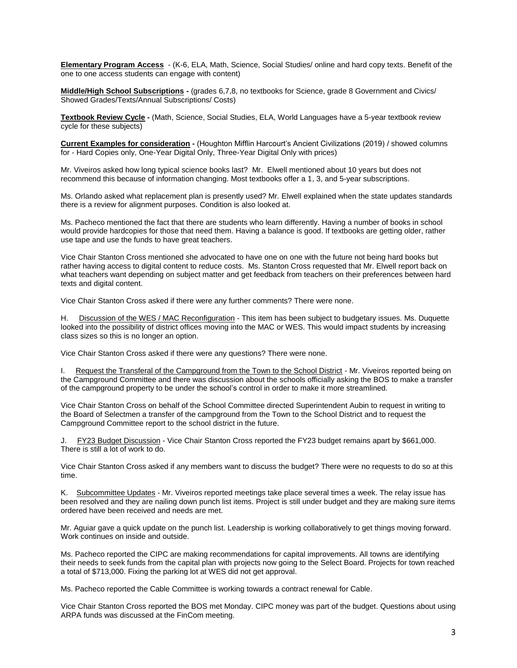**Elementary Program Access** - (K-6, ELA, Math, Science, Social Studies/ online and hard copy texts. Benefit of the one to one access students can engage with content)

**Middle/High School Subscriptions -** (grades 6,7,8, no textbooks for Science, grade 8 Government and Civics/ Showed Grades/Texts/Annual Subscriptions/ Costs)

**Textbook Review Cycle -** (Math, Science, Social Studies, ELA, World Languages have a 5-year textbook review cycle for these subjects)

**Current Examples for consideration -** (Houghton Mifflin Harcourt's Ancient Civilizations (2019) / showed columns for - Hard Copies only, One-Year Digital Only, Three-Year Digital Only with prices)

Mr. Viveiros asked how long typical science books last? Mr. Elwell mentioned about 10 years but does not recommend this because of information changing. Most textbooks offer a 1, 3, and 5-year subscriptions.

Ms. Orlando asked what replacement plan is presently used? Mr. Elwell explained when the state updates standards there is a review for alignment purposes. Condition is also looked at.

Ms. Pacheco mentioned the fact that there are students who learn differently. Having a number of books in school would provide hardcopies for those that need them. Having a balance is good. If textbooks are getting older, rather use tape and use the funds to have great teachers.

Vice Chair Stanton Cross mentioned she advocated to have one on one with the future not being hard books but rather having access to digital content to reduce costs. Ms. Stanton Cross requested that Mr. Elwell report back on what teachers want depending on subject matter and get feedback from teachers on their preferences between hard texts and digital content.

Vice Chair Stanton Cross asked if there were any further comments? There were none.

H. Discussion of the WES / MAC Reconfiguration - This item has been subject to budgetary issues. Ms. Duquette looked into the possibility of district offices moving into the MAC or WES. This would impact students by increasing class sizes so this is no longer an option.

Vice Chair Stanton Cross asked if there were any questions? There were none.

I. Request the Transferal of the Campground from the Town to the School District - Mr. Viveiros reported being on the Campground Committee and there was discussion about the schools officially asking the BOS to make a transfer of the campground property to be under the school's control in order to make it more streamlined.

Vice Chair Stanton Cross on behalf of the School Committee directed Superintendent Aubin to request in writing to the Board of Selectmen a transfer of the campground from the Town to the School District and to request the Campground Committee report to the school district in the future.

FY23 Budget Discussion - Vice Chair Stanton Cross reported the FY23 budget remains apart by \$661,000. There is still a lot of work to do.

Vice Chair Stanton Cross asked if any members want to discuss the budget? There were no requests to do so at this time.

K. Subcommittee Updates - Mr. Viveiros reported meetings take place several times a week. The relay issue has been resolved and they are nailing down punch list items. Project is still under budget and they are making sure items ordered have been received and needs are met.

Mr. Aguiar gave a quick update on the punch list. Leadership is working collaboratively to get things moving forward. Work continues on inside and outside.

Ms. Pacheco reported the CIPC are making recommendations for capital improvements. All towns are identifying their needs to seek funds from the capital plan with projects now going to the Select Board. Projects for town reached a total of \$713,000. Fixing the parking lot at WES did not get approval.

Ms. Pacheco reported the Cable Committee is working towards a contract renewal for Cable.

Vice Chair Stanton Cross reported the BOS met Monday. CIPC money was part of the budget. Questions about using ARPA funds was discussed at the FinCom meeting.